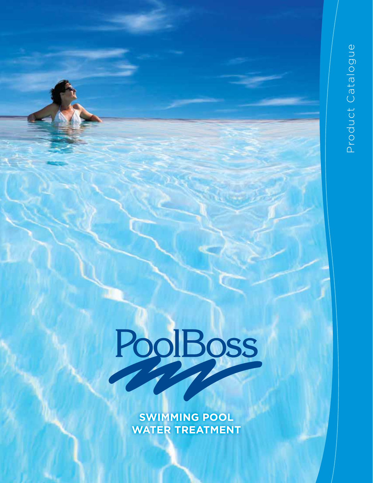# PoolBoss

**SWIMMING POOL WATER TREATMENT**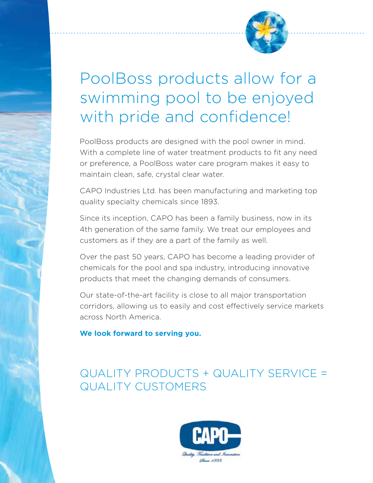

### PoolBoss products allow for a swimming pool to be enjoyed with pride and confidence!

PoolBoss products are designed with the pool owner in mind. With a complete line of water treatment products to fit any need or preference, a PoolBoss water care program makes it easy to maintain clean, safe, crystal clear water.

CAPO Industries Ltd. has been manufacturing and marketing top quality specialty chemicals since 1893.

Since its inception, CAPO has been a family business, now in its 4th generation of the same family. We treat our employees and customers as if they are a part of the family as well.

Over the past 50 years, CAPO has become a leading provider of chemicals for the pool and spa industry, introducing innovative products that meet the changing demands of consumers.

Our state-of-the-art facility is close to all major transportation corridors, allowing us to easily and cost effectively service markets across North America.

**We look forward to serving you.** 

#### QUALITY PRODUCTS + QUALITY SERVICE = QUALITY CUSTOMERS

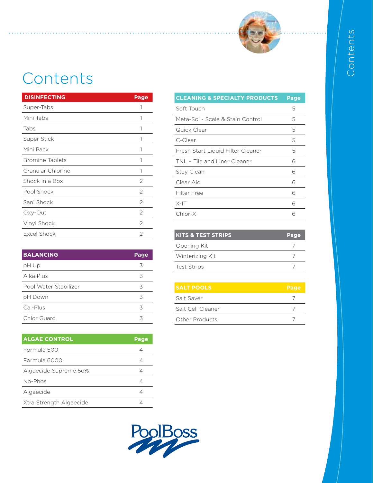

## Contents

| <b>DISINFECTING</b>    | <b>Page</b>   |
|------------------------|---------------|
| Super-Tabs             |               |
| Mini Tabs              | 1             |
| Tabs                   | 1             |
| Super Stick            | 1             |
| Mini Pack              |               |
| <b>Bromine Tablets</b> | 1             |
| Granular Chlorine      | 1             |
| Shock in a Box         | $\mathcal{P}$ |
| Pool Shock             | 2             |
| Sani Shock             | 2             |
| Oxy-Out                | 2             |
| Vinyl Shock            | 2             |
| Excel Shock            | 2             |

| <b>BALANCING</b>      | Page |
|-----------------------|------|
| pH Up                 | 3    |
| Alka Plus             | 3    |
| Pool Water Stabilizer | 3    |
| pH Down               | 3    |
| Cal-Plus              | 3    |
| Chlor Guard           | ζ    |

| <b>ALGAE CONTROL</b>    | Page |
|-------------------------|------|
| Formula 500             |      |
| Formula 6000            |      |
| Algaecide Supreme 50%   |      |
| No-Phos                 |      |
| Algaecide               |      |
| Xtra Strength Algaecide |      |

| <b>CLEANING &amp; SPECIALTY PRODUCTS</b> | <b>Page</b> |
|------------------------------------------|-------------|
| Soft Touch                               | 5           |
| Meta-Sol - Scale & Stain Control         | 5           |
| Quick Clear                              | 5           |
| C-Clear                                  | 5           |
| Fresh Start Liquid Filter Cleaner        | 5           |
| TNL - Tile and Liner Cleaner             | 6           |
| Stay Clean                               | 6           |
| Clear Aid                                | 6           |
| Filter Free                              | 6           |
| $X-I$ T                                  | 6           |
| Chlor-X                                  | 6           |

| <b>KITS &amp; TEST STRIPS</b> | Page |
|-------------------------------|------|
| Opening Kit                   |      |
| Winterizing Kit               |      |
| <b>Test Strips</b>            |      |

| <b>SALT POOLS</b> | Page |
|-------------------|------|
| Salt Saver        |      |
| Salt Cell Cleaner |      |
| Other Products    |      |

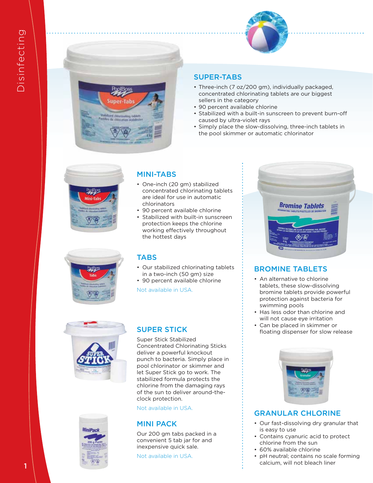

#### SUPER-TABS

- Three-inch (7 oz/200 gm), individually packaged, concentrated chlorinating tablets are our biggest sellers in the category
- 90 percent available chlorine
- Stabilized with a built-in sunscreen to prevent burn-off caused by ultra-violet rays
- Simply place the slow-dissolving, three-inch tablets in the pool skimmer or automatic chlorinator



#### MINI-TABS

- One-inch (20 gm) stabilized concentrated chlorinating tablets are ideal for use in automatic chlorinators
- 90 percent available chlorine
- Stabilized with built-in sunscreen protection keeps the chlorine working effectively throughout the hottest days

#### TABS

- Our stabilized chlorinating tablets in a two-inch (50 gm) size
- 90 percent available chlorine

Not available in USA.





#### SUPER STICK

Super Stick Stabilized Concentrated Chlorinating Sticks deliver a powerful knockout punch to bacteria. Simply place in pool chlorinator or skimmer and let Super Stick go to work. The stabilized formula protects the chlorine from the damaging rays of the sun to deliver around-theclock protection.

Not available in USA.

#### MINI PACK

Our 200 gm tabs packed in a convenient 5 tab jar for and inexpensive quick sale.

Not available in USA.



#### BROMINE TABLETS

- An alternative to chlorine tablets, these slow-dissolving bromine tablets provide powerful protection against bacteria for swimming pools
- Has less odor than chlorine and will not cause eye irritation
- Can be placed in skimmer or<br>floating dispenser for slow release



#### GRANULAR CHLORINE

- Our fast-dissolving dry granular that is easy to use
- Contains cyanuric acid to protect chlorine from the sun
- 60% available chlorine
- pH neutral; contains no scale forming calcium, will not bleach liner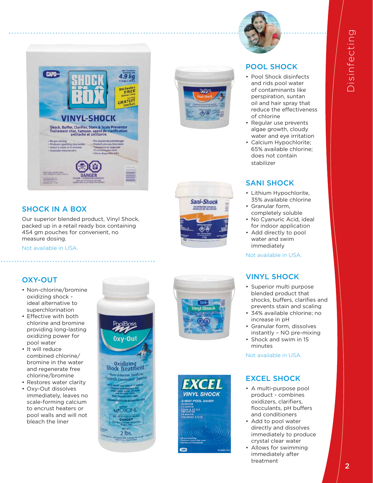

#### CAPO-4.9 kg Includes<br>FREE GRATUIT VINYL-SHOCK Shock, Buffer, Clarifier, Stain & Scale Preventor<br>Traitement choc, tampon, agent de clarification<br>antitache et antitartre Produces sparkling clear iu très clai nt et baignad<br>es plus tard **RAD LARGE REFORE PERSO DANGER**

#### SHOCK IN A BOX

Our superior blended product, Vinyl Shock, packed up in a retail ready box containing 454 gm pouches for convenient, no measure dosing.

Not available in USA.





#### OXY-OUT

- Non-chlorine/bromine oxidizing shock ideal alternative to superchlorination
- Effective with both chlorine and bromine providing long-lasting oxidizing power for pool water
- It will reduce combined chlorine/ bromine in the water and regenerate free chlorine/bromine
- Restores water clarity
- Oxy-Out dissolves immediately, leaves no scale-forming calcium to encrust heaters or pool walls and will not bleach the liner

 $0<sub>II</sub>$ Oxidizing<br>Shock Treatment Mon-chlorine Oxidizer<br>Introls Combined Chlorin **COXONE DANGER**  $2$  lbs.





#### POOL SHOCK

- Pool Shock disinfects and rids pool water of contaminants like perspiration, suntan oil and hair spray that reduce the effectiveness of chlorine
- Regular use prevents algae growth, cloudy water and eye irritation
- Calcium Hypochlorite; 65% available chlorine; does not contain stabilizer

#### SANI SHOCK

- Lithium Hypochlorite, 35% available chlorine
- Granular form, completely soluble
- No Cyanuric Acid, ideal for indoor application
- Add directly to pool water and swim immediately

Not available in USA.

#### VINYL SHOCK

- Superior multi purpose blended product that shocks, buffers, clarifies and prevents stain and scaling
- 34% available chlorine; no increase in pH
- Granular form, dissolves instantly – NO pre-mixing
- Shock and swim in 15 minutes

Not available in USA.

#### EXCEL SHOCK

- A multi-purpose pool product - combines oxidizers, clarifiers,<br>flocculants, pH buffers and conditioners
- Add to pool water directly and dissolves immediately to produce crystal clear water
- Allows for swimming immediately after treatment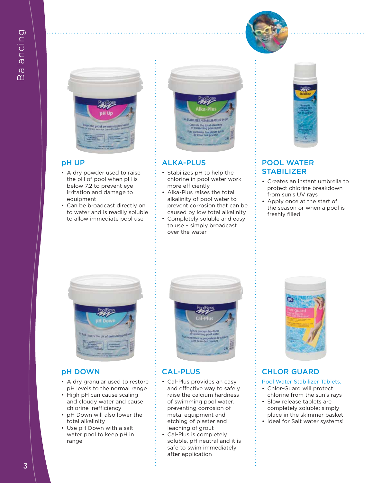



#### pH UP

- A dry powder used to raise the pH of pool when pH is below 7.2 to prevent eye irritation and damage to equipment
- Can be broadcast directly on to water and is readily soluble to allow immediate pool use



#### ALKA-PLUS

- Stabilizes pH to help the chlorine in pool water work more efficiently
- Alka-Plus raises the total alkalinity of pool water to prevent corrosion that can be caused by low total alkalinity
- Completely soluble and easy to use – simply broadcast over the water



#### POOL WATER **STABILIZER**

- Creates an instant umbrella to protect chlorine breakdown from sun's UV rays
- Apply once at the start of the season or when a pool is freshly filled



#### pH DOWN

- A dry granular used to restore pH levels to the normal range
- High pH can cause scaling and cloudy water and cause chlorine inefficiency
- pH Down will also lower the total alkalinity
- Use pH Down with a salt water pool to keep pH in range



#### CAL-PLUS

- Cal-Plus provides an easy and effective way to safely raise the calcium hardness of swimming pool water, preventing corrosion of metal equipment and etching of plaster and leaching of grout
- Cal-Plus is completely soluble, pH neutral and it is safe to swim immediately after application



#### CHLOR GUARD

- Pool Water Stabilizer Tablets.
- Chlor-Guard will protect chlorine from the sun's rays
- Slow release tablets are completely soluble; simply place in the skimmer basket
- Ideal for Salt water systems!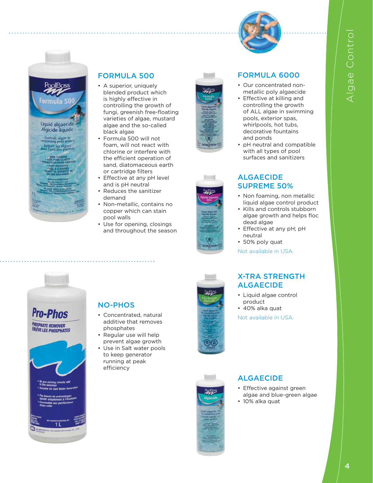



#### FORMULA 500

- A superior, uniquely blended product which is highly effective in controlling the growth of fungi, greenish free-floating varieties of algae, mustard algae and the so-called black algae
- Formula 500 will not foam, will not react with chlorine or interfere with the efficient operation of sand, diatomaceous earth or cartridge filters
- Effective at any pH level and is pH neutral
- Reduces the sanitizer demand
- Non-metallic, contains no copper which can stain pool walls
- Use for opening, closings and throughout the season







#### FORMULA 6000

- Our concentrated nonmetallic poly algaecide
- Effective at killing and controlling the growth of ALL algae in swimming pools, exterior spas, whirlpools, hot tubs, decorative fountains and ponds
	- pH neutral and compatible with all types of pool surfaces and sanitizers

#### ALGAECIDE SUPREME 50%

- Non foaming, non metallic liquid algae control product
- Kills and controls stubborn algae growth and helps floc dead algae
- Effective at any pH; pH neutral
- 50% poly quat

Not available in USA.

#### X-TRA STRENGTH ALGAECIDE

- Liquid algae control product
- 40% alka quat

Not available in USA.

#### ALGAECIDE

- Effective against green algae and blue-green algae
- 10% alka quat

# **Pro-Phos HOSPHATE REMOVER ENLEVE LES PHOSPHATES**

#### NO-PHOS

- Concentrated, natural additive that removes phosphates
- Regular use will help prevent algae growth
- Use in Salt water pools to keep generator running at peak efficiency

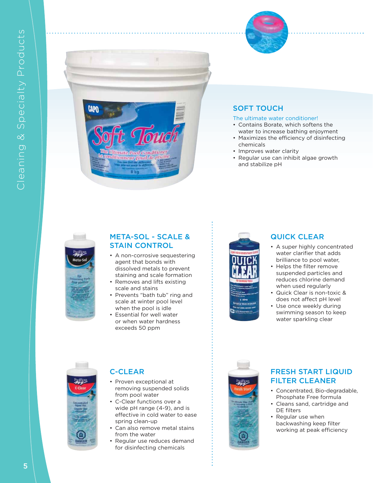



#### SOFT TOUCH

#### The ultimate water conditioner!

- Contains Borate, which softens the water to increase bathing enjoyment
- Maximizes the efficiency of disinfecting chemicals
- Improves water clarity
- Regular use can inhibit algae growth and stabilize pH



#### META-SOL - SCALE & STAIN CONTROL

- A non-corrosive sequestering agent that bonds with dissolved metals to prevent staining and scale formation
- Removes and lifts existing scale and stains
- Prevents "bath tub" ring and scale at winter pool level when the pool is idle
- Essential for well water or when water hardness exceeds 50 ppm



#### QUICK CLEAR

- A super highly concentrated water clarifier that adds brilliance to pool water,
- Helps the filter remove suspended particles and reduces chlorine demand when used regularly
- Quick Clear is non-toxic & does not affect pH level
- Use once weekly during swimming season to keep water sparkling clear



#### C-CLEAR

- Proven exceptional at removing suspended solids from pool water
- C-Clear functions over a wide pH range (4-9), and is effective in cold water to ease spring clean-up
- Can also remove metal stains from the water
- Regular use reduces demand for disinfecting chemicals



#### FRESH START LIQUID FILTER CLEANER

- Concentrated, Bio-degradable, Phosphate Free formula
- Cleans sand, cartridge and DE filters
- Regular use when backwashing keep filter working at peak efficiency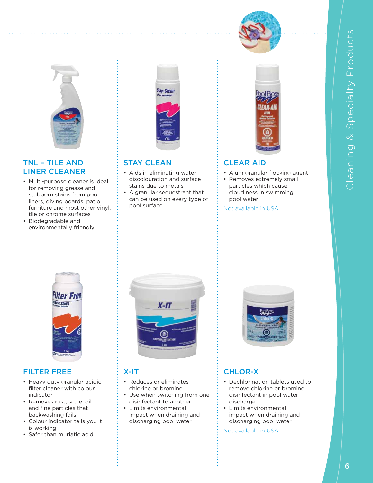



#### TNL – TILE AND LINER CLEANER

- Multi-purpose cleaner is ideal for removing grease and stubborn stains from pool liners, diving boards, patio furniture and most other vinyl, tile or chrome surfaces
- Biodegradable and environmentally friendly



#### STAY CLEAN

- Aids in eliminating water discolouration and surface stains due to metals
- A granular sequestrant that can be used on every type of pool surface



#### CLEAR AID

- Alum granular flocking agent
- Removes extremely small particles which cause cloudiness in swimming pool water

Not available in USA.



#### FILTER FREE

- Heavy duty granular acidic filter cleaner with colour indicator
- Removes rust, scale, oil and fine particles that backwashing fails
- Colour indicator tells you it is working
- Safer than muriatic acid



#### X-IT

- Reduces or eliminates chlorine or bromine
- Use when switching from one disinfectant to another
- Limits environmental impact when draining and discharging pool water



#### CHLOR-X

- Dechlorination tablets used to remove chlorine or bromine disinfectant in pool water discharge
- Limits environmental impact when draining and discharging pool water

Not available in USA.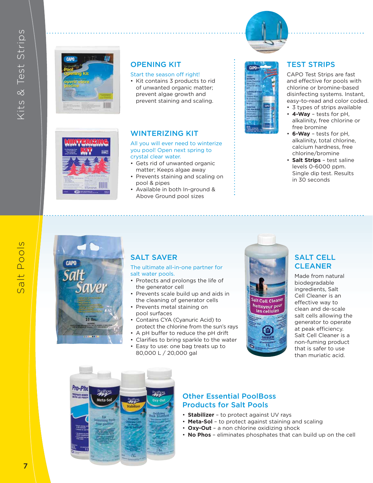Salt Pools

Salt Pools





#### OPENING KIT

#### Start the season off right!

• Kit contains 3 products to rid of unwanted organic matter; prevent algae growth and prevent staining and scaling.

#### WINTERIZING KIT

All you will ever need to winterize you pool! Open next spring to crystal clear water.

- Gets rid of unwanted organic matter; Keeps algae away
- Prevents staining and scaling on pool & pipes
- Available in both In-ground & Above Ground pool sizes



CAPO Test Strips are fast and effective for pools with chlorine or bromine-based disinfecting systems. Instant, easy-to-read and color coded.

- 3 types of strips available • **4-Way** – tests for pH, alkalinity, free chlorine or
- free bromine • **6-Way** – tests for pH, alkalinity, total chlorine, calcium hardness, free chlorine/bromine
- **Salt Strips** test saline levels 0-6000 ppm. Single dip test. Results in 30 seconds

# **CAPO** Wer 10 h

#### SALT SAVER

The ultimate all-in-one partner for salt water pools.

- Protects and prolongs the life of the generator cell
- Prevents scale build up and aids in the cleaning of generator cells
- Prevents metal staining on pool surfaces
- Contains CYA (Cyanuric Acid) to protect the chlorine from the sun's rays
- A pH buffer to reduce the pH drift
- Clarifies to bring sparkle to the water • Easy to use: one bag treats up to
- 80,000 L / 20,000 gal



#### SALT CELL **CLEANER**

Made from natural biodegradable ingredients, Salt Cell Cleaner is an effective way to clean and de-scale salt cells allowing the generator to operate at peak efficiency. Salt Cell Cleaner is a non-fuming product that is safer to use than muriatic acid.



#### Other Essential PoolBoss Products for Salt Pools

- **Stabilizer** to protect against UV rays
- **Meta-Sol** to protect against staining and scaling
- **Oxy-Out** a non chlorine oxidizing shock
- **No Phos** eliminates phosphates that can build up on the cell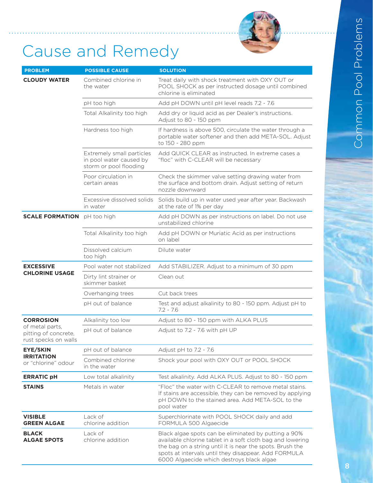

## Cause and Remedy

| <b>PROBLEM</b>                                                  | <b>POSSIBLE CAUSE</b>                                                          | <b>SOLUTION</b>                                                                                                                                                                                                                                                                      |
|-----------------------------------------------------------------|--------------------------------------------------------------------------------|--------------------------------------------------------------------------------------------------------------------------------------------------------------------------------------------------------------------------------------------------------------------------------------|
| <b>CLOUDY WATER</b>                                             | Combined chlorine in<br>the water                                              | Treat daily with shock treatment with OXY OUT or<br>POOL SHOCK as per instructed dosage until combined<br>chlorine is eliminated                                                                                                                                                     |
|                                                                 | pH too high                                                                    | Add pH DOWN until pH level reads 7.2 - 7.6                                                                                                                                                                                                                                           |
|                                                                 | Total Alkalinity too high                                                      | Add dry or liquid acid as per Dealer's instructions.<br>Adjust to 80 - 150 ppm                                                                                                                                                                                                       |
|                                                                 | Hardness too high                                                              | If hardness is above 500, circulate the water through a<br>portable water softener and then add META-SOL. Adjust<br>to 150 - 280 ppm                                                                                                                                                 |
|                                                                 | Extremely small particles<br>in pool water caused by<br>storm or pool flooding | Add QUICK CLEAR as instructed. In extreme cases a<br>"floc" with C-CLEAR will be necessary                                                                                                                                                                                           |
|                                                                 | Poor circulation in<br>certain areas                                           | Check the skimmer valve setting drawing water from<br>the surface and bottom drain. Adjust setting of return<br>nozzle downward                                                                                                                                                      |
|                                                                 | Excessive dissolved solids<br>in water                                         | Solids build up in water used year after year. Backwash<br>at the rate of 1% per day                                                                                                                                                                                                 |
| <b>SCALE FORMATION</b>                                          | pH too high                                                                    | Add pH DOWN as per instructions on label. Do not use<br>unstabilized chlorine                                                                                                                                                                                                        |
|                                                                 | Total Alkalinity too high                                                      | Add pH DOWN or Muriatic Acid as per instructions<br>on label                                                                                                                                                                                                                         |
|                                                                 | Dissolved calcium<br>too high                                                  | Dilute water                                                                                                                                                                                                                                                                         |
| <b>EXCESSIVE</b><br><b>CHLORINE USAGE</b>                       | Pool water not stabilized                                                      | Add STABILIZER. Adjust to a minimum of 30 ppm                                                                                                                                                                                                                                        |
|                                                                 | Dirty lint strainer or<br>skimmer basket                                       | Clean out                                                                                                                                                                                                                                                                            |
|                                                                 | Overhanging trees                                                              | Cut back trees                                                                                                                                                                                                                                                                       |
|                                                                 | pH out of balance                                                              | Test and adjust alkalinity to 80 - 150 ppm. Adjust pH to<br>$7.2 - 7.6$                                                                                                                                                                                                              |
| <b>CORROSION</b>                                                | Alkalinity too low                                                             | Adjust to 80 - 150 ppm with ALKA PLUS                                                                                                                                                                                                                                                |
| of metal parts,<br>pitting of concrete,<br>rust specks on walls | pH out of balance                                                              | Adjust to 7.2 - 7.6 with pH UP                                                                                                                                                                                                                                                       |
| EYE/SKIN<br><b>IRRITATION</b><br>or "chlorine" odour            | pH out of balance                                                              | Adjust pH to $7.2 - 7.6$                                                                                                                                                                                                                                                             |
|                                                                 | Combined chlorine<br>in the water                                              | Shock your pool with OXY OUT or POOL SHOCK                                                                                                                                                                                                                                           |
| <b>ERRATIC pH</b>                                               | Low total alkalinity                                                           | Test alkalinity. Add ALKA PLUS. Adjust to 80 - 150 ppm                                                                                                                                                                                                                               |
| <b>STAINS</b>                                                   | Metals in water                                                                | "Floc" the water with C-CLEAR to remove metal stains.<br>If stains are accessible, they can be removed by applying<br>pH DOWN to the stained area. Add META-SOL to the<br>pool water                                                                                                 |
| <b>VISIBLE</b><br><b>GREEN ALGAE</b>                            | Lack of<br>chlorine addition                                                   | Superchlorinate with POOL SHOCK daily and add<br>FORMULA 500 Algaecide                                                                                                                                                                                                               |
| <b>BLACK</b><br><b>ALGAE SPOTS</b>                              | Lack of<br>chlorine addition                                                   | Black algae spots can be eliminated by putting a 90%<br>available chlorine tablet in a soft cloth bag and lowering<br>the bag on a string until it is near the spots. Brush the<br>spots at intervals until they disappear. Add FORMULA<br>6000 Algaecide which destroys black algae |